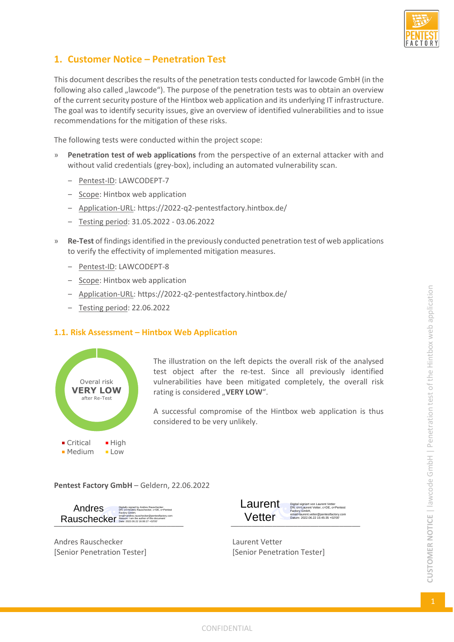

# **1. Customer Notice – Penetration Test**

This document describes the results of the penetration tests conducted for lawcode GmbH (in the following also called "lawcode"). The purpose of the penetration tests was to obtain an overview of the current security posture of the Hintbox web application and its underlying IT infrastructure. The goal was to identify security issues, give an overview of identified vulnerabilities and to issue recommendations for the mitigation of these risks.

The following tests were conducted within the project scope:

- » **Penetration test of web applications** from the perspective of an external attacker with and without valid credentials (grey-box), including an automated vulnerability scan.
	- Pentest-ID: LAWCODEPT-7
	- ‒ Scope: Hintbox web application
	- Application-URL: https://2022-q2-pentestfactory.hintbox.de/
	- ‒ Testing period: 31.05.2022 03.06.2022
- » **Re-Test** of findings identified in the previously conducted penetration test of web applications to verify the effectivity of implemented mitigation measures.
	- Pentest-ID: LAWCODEPT-8
	- ‒ Scope: Hintbox web application
	- ‒ Application-URL: https://2022-q2-pentestfactory.hintbox.de/
	- ‒ Testing period: 22.06.2022

### **1.1. Risk Assessment – Hintbox Web Application**



The illustration on the left depicts the overall risk of the analysed test object after the re-test. Since all previously identified vulnerabilities have been mitigated completely, the overall risk rating is considered "VERY LOW".

A successful compromise of the Hintbox web application is thus considered to be very unlikely.

**Pentest Factory GmbH** – Geldern, 22.06.2022

Digitally signed by Andres Rauschecker DN: cn=Andres Rauschecker, c=DE, o=Pentest Factory GmbH, Andres

Andres Rauschecker **Laurent Vetter** Laurent Vetter



[Senior Penetration Tester] [Senior Penetration Tester]